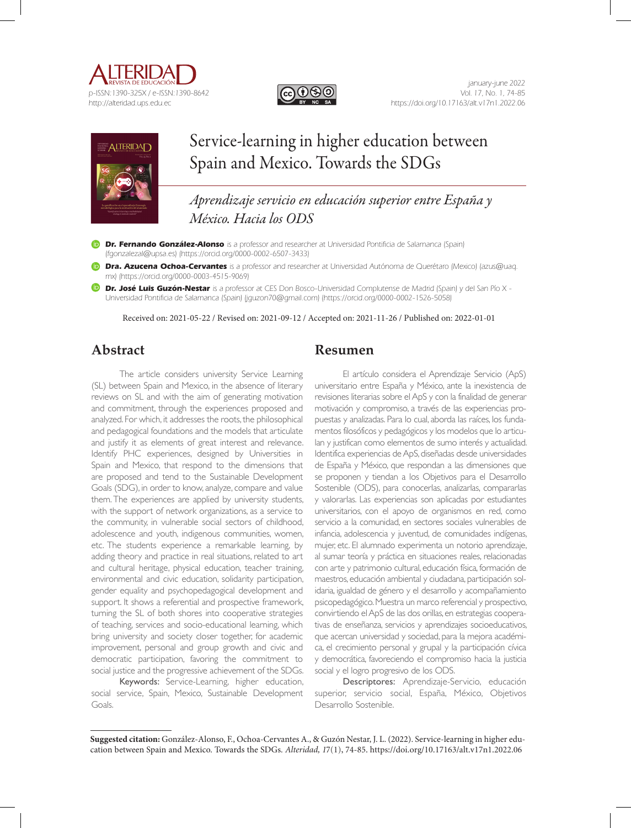





# Service-learning in higher education between Spain and Mexico. Towards the SDGs

*Aprendizaje servicio en educación superior entre España y México. Hacia los ODS*

**Dr. Fernando González-Alonso** is a professor and researcher at Universidad Pontificia de Salamanca (Spain) (fgonzalezal@upsa.es) (https://orcid.org/0000-0002-6507-3433)

**Dra. Azucena Ochoa-Cervantes** is a professor and researcher at Universidad Autónoma de Querétaro (Mexico) (azus@uaq. mx) (https://orcid.org/0000-0003-4515-9069)

**Dr. José Luis Guzón-Nestar** is a professor at CES Don Bosco-Universidad Complutense de Madrid (Spain) y del San Pío X - Universidad Pontificia de Salamanca (Spain) (jguzon70@gmail.com) (https://orcid.org/0000-0002-1526-5058)

Received on: 2021-05-22 / Revised on: 2021-09-12 / Accepted on: 2021-11-26 / Published on: 2022-01-01

# **Abstract**

The article considers university Service Learning (SL) between Spain and Mexico, in the absence of literary reviews on SL and with the aim of generating motivation and commitment, through the experiences proposed and analyzed. For which, it addresses the roots, the philosophical and pedagogical foundations and the models that articulate and justify it as elements of great interest and relevance. Identify PHC experiences, designed by Universities in Spain and Mexico, that respond to the dimensions that are proposed and tend to the Sustainable Development Goals (SDG), in order to know, analyze, compare and value them. The experiences are applied by university students, with the support of network organizations, as a service to the community, in vulnerable social sectors of childhood, adolescence and youth, indigenous communities, women, etc. The students experience a remarkable learning, by adding theory and practice in real situations, related to art and cultural heritage, physical education, teacher training, environmental and civic education, solidarity participation, gender equality and psychopedagogical development and support. It shows a referential and prospective framework, turning the SL of both shores into cooperative strategies of teaching, services and socio-educational learning, which bring university and society closer together, for academic improvement, personal and group growth and civic and democratic participation, favoring the commitment to social justice and the progressive achievement of the SDGs.

Keywords: Service-Learning, higher education, social service, Spain, Mexico, Sustainable Development Goals.

# **Resumen**

El artículo considera el Aprendizaje Servicio (ApS) universitario entre España y México, ante la inexistencia de revisiones literarias sobre el ApS y con la finalidad de generar motivación y compromiso, a través de las experiencias propuestas y analizadas. Para lo cual, aborda las raíces, los fundamentos filosóficos y pedagógicos y los modelos que lo articulan y justifican como elementos de sumo interés y actualidad. Identifica experiencias de ApS, diseñadas desde universidades de España y México, que respondan a las dimensiones que se proponen y tiendan a los Objetivos para el Desarrollo Sostenible (ODS), para conocerlas, analizarlas, compararlas y valorarlas. Las experiencias son aplicadas por estudiantes universitarios, con el apoyo de organismos en red, como servicio a la comunidad, en sectores sociales vulnerables de infancia, adolescencia y juventud, de comunidades indígenas, mujer, etc. El alumnado experimenta un notorio aprendizaje, al sumar teoría y práctica en situaciones reales, relacionadas con arte y patrimonio cultural, educación física, formación de maestros, educación ambiental y ciudadana, participación solidaria, igualdad de género y el desarrollo y acompañamiento psicopedagógico. Muestra un marco referencial y prospectivo, convirtiendo el ApS de las dos orillas, en estrategias cooperativas de enseñanza, servicios y aprendizajes socioeducativos, que acercan universidad y sociedad, para la mejora académica, el crecimiento personal y grupal y la participación cívica y democrática, favoreciendo el compromiso hacia la justicia social y el logro progresivo de los ODS.

Descriptores: Aprendizaje-Servicio, educación superior, servicio social, España, México, Objetivos Desarrollo Sostenible.

**Suggested citation:** González-Alonso, F., Ochoa-Cervantes A., & Guzón Nestar, J. L. (2022). Service-learning in higher education between Spain and Mexico. Towards the SDGs. *Alteridad, 1*7(1), 74-85. https://doi.org/10.17163/alt.v17n1.2022.06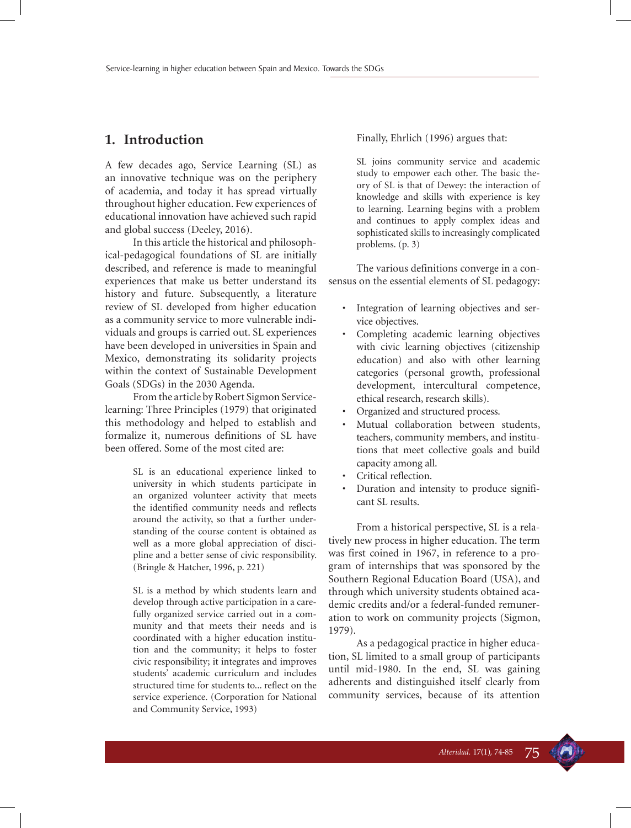### **1. Introduction**

A few decades ago, Service Learning (SL) as an innovative technique was on the periphery of academia, and today it has spread virtually throughout higher education. Few experiences of educational innovation have achieved such rapid and global success (Deeley, 2016).

In this article the historical and philosophical-pedagogical foundations of SL are initially described, and reference is made to meaningful experiences that make us better understand its history and future. Subsequently, a literature review of SL developed from higher education as a community service to more vulnerable individuals and groups is carried out. SL experiences have been developed in universities in Spain and Mexico, demonstrating its solidarity projects within the context of Sustainable Development Goals (SDGs) in the 2030 Agenda.

From the article by Robert Sigmon Servicelearning: Three Principles (1979) that originated this methodology and helped to establish and formalize it, numerous definitions of SL have been offered. Some of the most cited are:

> SL is an educational experience linked to university in which students participate in an organized volunteer activity that meets the identified community needs and reflects around the activity, so that a further understanding of the course content is obtained as well as a more global appreciation of discipline and a better sense of civic responsibility. (Bringle & Hatcher, 1996, p. 221)

> SL is a method by which students learn and develop through active participation in a carefully organized service carried out in a community and that meets their needs and is coordinated with a higher education institution and the community; it helps to foster civic responsibility; it integrates and improves students' academic curriculum and includes structured time for students to... reflect on the service experience. (Corporation for National and Community Service, 1993)

Finally, Ehrlich (1996) argues that:

SL joins community service and academic study to empower each other. The basic theory of SL is that of Dewey: the interaction of knowledge and skills with experience is key to learning. Learning begins with a problem and continues to apply complex ideas and sophisticated skills to increasingly complicated problems. (p. 3)

The various definitions converge in a consensus on the essential elements of SL pedagogy:

- Integration of learning objectives and service objectives.
- Completing academic learning objectives with civic learning objectives (citizenship education) and also with other learning categories (personal growth, professional development, intercultural competence, ethical research, research skills).
- Organized and structured process.
- Mutual collaboration between students, teachers, community members, and institutions that meet collective goals and build capacity among all.
- Critical reflection.
- Duration and intensity to produce significant SL results.

From a historical perspective, SL is a relatively new process in higher education. The term was first coined in 1967, in reference to a program of internships that was sponsored by the Southern Regional Education Board (USA), and through which university students obtained academic credits and/or a federal-funded remuneration to work on community projects (Sigmon, 1979).

As a pedagogical practice in higher education, SL limited to a small group of participants until mid-1980. In the end, SL was gaining adherents and distinguished itself clearly from community services, because of its attention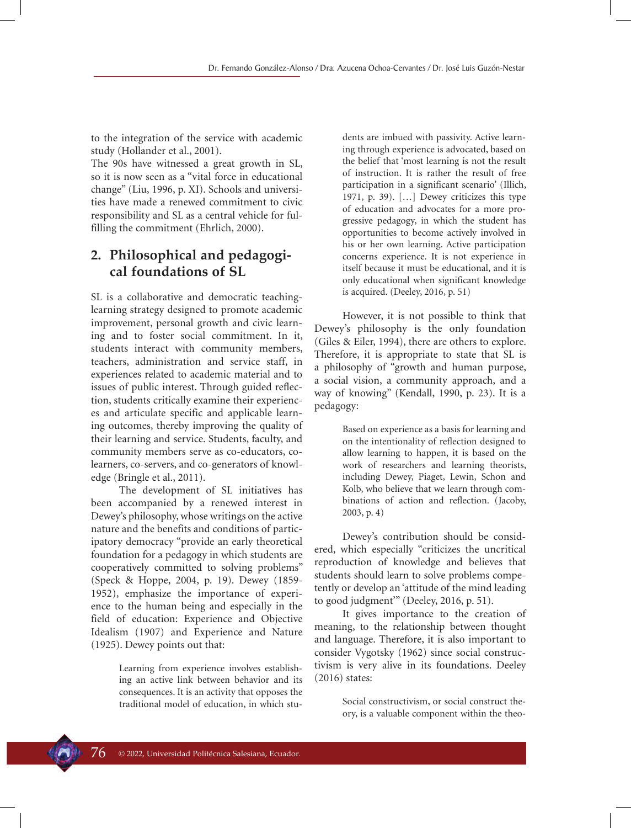to the integration of the service with academic study (Hollander et al., 2001).

The 90s have witnessed a great growth in SL, so it is now seen as a "vital force in educational change" (Liu, 1996, p. XI). Schools and universities have made a renewed commitment to civic responsibility and SL as a central vehicle for fulfilling the commitment (Ehrlich, 2000).

# **2. Philosophical and pedagogical foundations of SL**

SL is a collaborative and democratic teachinglearning strategy designed to promote academic improvement, personal growth and civic learning and to foster social commitment. In it, students interact with community members, teachers, administration and service staff, in experiences related to academic material and to issues of public interest. Through guided reflection, students critically examine their experiences and articulate specific and applicable learning outcomes, thereby improving the quality of their learning and service. Students, faculty, and community members serve as co-educators, colearners, co-servers, and co-generators of knowledge (Bringle et al., 2011).

The development of SL initiatives has been accompanied by a renewed interest in Dewey's philosophy, whose writings on the active nature and the benefits and conditions of participatory democracy "provide an early theoretical foundation for a pedagogy in which students are cooperatively committed to solving problems" (Speck & Hoppe, 2004, p. 19). Dewey (1859- 1952), emphasize the importance of experience to the human being and especially in the field of education: Experience and Objective Idealism (1907) and Experience and Nature (1925). Dewey points out that:

> Learning from experience involves establishing an active link between behavior and its consequences. It is an activity that opposes the traditional model of education, in which stu

dents are imbued with passivity. Active learning through experience is advocated, based on the belief that 'most learning is not the result of instruction. It is rather the result of free participation in a significant scenario' (Illich, 1971, p. 39). […] Dewey criticizes this type of education and advocates for a more progressive pedagogy, in which the student has opportunities to become actively involved in his or her own learning. Active participation concerns experience. It is not experience in itself because it must be educational, and it is only educational when significant knowledge is acquired. (Deeley, 2016, p. 51)

However, it is not possible to think that Dewey's philosophy is the only foundation (Giles & Eiler, 1994), there are others to explore. Therefore, it is appropriate to state that SL is a philosophy of "growth and human purpose, a social vision, a community approach, and a way of knowing" (Kendall, 1990, p. 23). It is a pedagogy:

> Based on experience as a basis for learning and on the intentionality of reflection designed to allow learning to happen, it is based on the work of researchers and learning theorists, including Dewey, Piaget, Lewin, Schon and Kolb, who believe that we learn through combinations of action and reflection. (Jacoby, 2003, p. 4)

Dewey's contribution should be considered, which especially "criticizes the uncritical reproduction of knowledge and believes that students should learn to solve problems competently or develop an 'attitude of the mind leading to good judgment'" (Deeley, 2016, p. 51).

It gives importance to the creation of meaning, to the relationship between thought and language. Therefore, it is also important to consider Vygotsky (1962) since social constructivism is very alive in its foundations. Deeley (2016) states:

> Social constructivism, or social construct theory, is a valuable component within the theo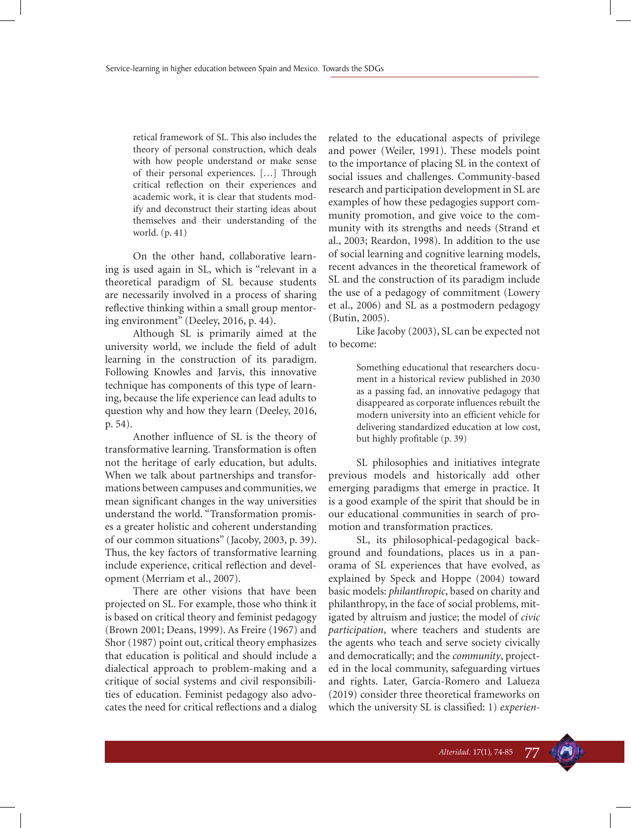retical framework of SL. This also includes the theory of personal construction, which deals with how people understand or make sense of their personal experiences. […] Through critical reflection on their experiences and academic work, it is clear that students modify and deconstruct their starting ideas about themselves and their understanding of the world. (p. 41)

On the other hand, collaborative learning is used again in SL, which is "relevant in a theoretical paradigm of SL because students are necessarily involved in a process of sharing reflective thinking within a small group mentoring environment" (Deeley, 2016, p. 44).

Although SL is primarily aimed at the university world, we include the field of adult learning in the construction of its paradigm. Following Knowles and Jarvis, this innovative technique has components of this type of learning, because the life experience can lead adults to question why and how they learn (Deeley, 2016, p. 54).

Another influence of SL is the theory of transformative learning. Transformation is often not the heritage of early education, but adults. When we talk about partnerships and transformations between campuses and communities, we mean significant changes in the way universities understand the world. "Transformation promises a greater holistic and coherent understanding of our common situations" (Jacoby, 2003, p. 39). Thus, the key factors of transformative learning include experience, critical reflection and development (Merriam et al., 2007).

There are other visions that have been projected on SL. For example, those who think it is based on critical theory and feminist pedagogy (Brown 2001; Deans, 1999). As Freire (1967) and Shor (1987) point out, critical theory emphasizes that education is political and should include a dialectical approach to problem-making and a critique of social systems and civil responsibilities of education. Feminist pedagogy also advocates the need for critical reflections and a dialog related to the educational aspects of privilege and power (Weiler, 1991). These models point to the importance of placing SL in the context of social issues and challenges. Community-based research and participation development in SL are examples of how these pedagogies support community promotion, and give voice to the community with its strengths and needs (Strand et al., 2003; Reardon, 1998). In addition to the use of social learning and cognitive learning models, recent advances in the theoretical framework of SL and the construction of its paradigm include the use of a pedagogy of commitment (Lowery et al., 2006) and SL as a postmodern pedagogy (Butin, 2005).

Like Jacoby (2003), SL can be expected not to become:

> Something educational that researchers document in a historical review published in 2030 as a passing fad, an innovative pedagogy that disappeared as corporate influences rebuilt the modern university into an efficient vehicle for delivering standardized education at low cost, but highly profitable (p. 39)

SL philosophies and initiatives integrate previous models and historically add other emerging paradigms that emerge in practice. It is a good example of the spirit that should be in our educational communities in search of promotion and transformation practices.

SL, its philosophical-pedagogical background and foundations, places us in a panorama of SL experiences that have evolved, as explained by Speck and Hoppe (2004) toward basic models: *philanthropic*, based on charity and philanthropy, in the face of social problems, mitigated by altruism and justice; the model of *civic participation*, where teachers and students are the agents who teach and serve society civically and democratically; and the *community*, projected in the local community, safeguarding virtues and rights. Later, García-Romero and Lalueza (2019) consider three theoretical frameworks on which the university SL is classified: 1) *experien-*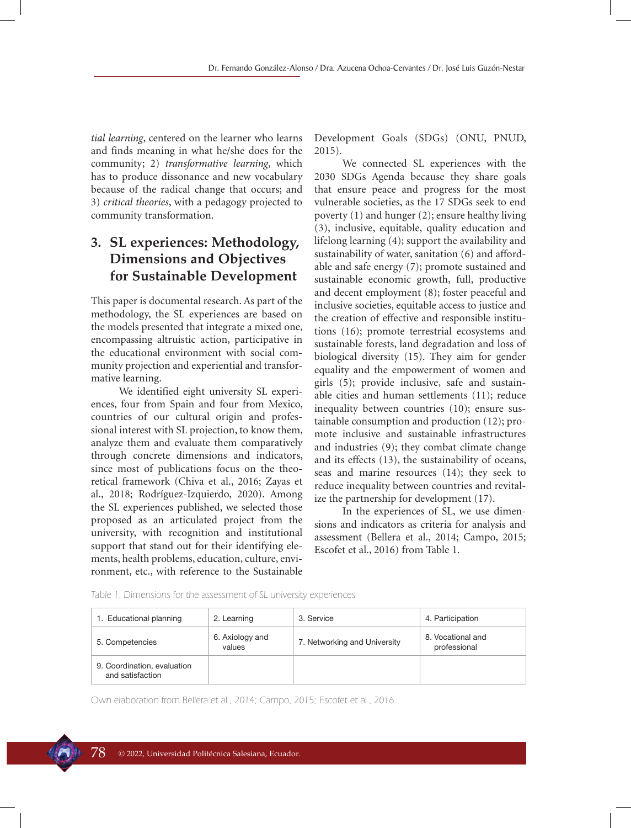*tial learning*, centered on the learner who learns and finds meaning in what he/she does for the community; 2) *transformative learning*, which has to produce dissonance and new vocabulary because of the radical change that occurs; and 3) *critical theories*, with a pedagogy projected to community transformation.

# **3. SL experiences: Methodology, Dimensions and Objectives for Sustainable Development**

This paper is documental research. As part of the methodology, the SL experiences are based on the models presented that integrate a mixed one, encompassing altruistic action, participative in the educational environment with social community projection and experiential and transformative learning.

We identified eight university SL experiences, four from Spain and four from Mexico, countries of our cultural origin and professional interest with SL projection, to know them, analyze them and evaluate them comparatively through concrete dimensions and indicators, since most of publications focus on the theoretical framework (Chiva et al., 2016; Zayas et al., 2018; Rodríguez-Izquierdo, 2020). Among the SL experiences published, we selected those proposed as an articulated project from the university, with recognition and institutional support that stand out for their identifying elements, health problems, education, culture, environment, etc., with reference to the Sustainable

Development Goals (SDGs) (ONU, PNUD, 2015).

We connected SL experiences with the 2030 SDGs Agenda because they share goals that ensure peace and progress for the most vulnerable societies, as the 17 SDGs seek to end poverty (1) and hunger (2); ensure healthy living (3), inclusive, equitable, quality education and lifelong learning (4); support the availability and sustainability of water, sanitation (6) and affordable and safe energy (7); promote sustained and sustainable economic growth, full, productive and decent employment (8); foster peaceful and inclusive societies, equitable access to justice and the creation of effective and responsible institutions (16); promote terrestrial ecosystems and sustainable forests, land degradation and loss of biological diversity (15). They aim for gender equality and the empowerment of women and girls (5); provide inclusive, safe and sustainable cities and human settlements (11); reduce inequality between countries (10); ensure sustainable consumption and production (12); promote inclusive and sustainable infrastructures and industries (9); they combat climate change and its effects (13), the sustainability of oceans, seas and marine resources (14); they seek to reduce inequality between countries and revitalize the partnership for development (17).

In the experiences of SL, we use dimensions and indicators as criteria for analysis and assessment (Bellera et al., 2014; Campo, 2015; Escofet et al., 2016) from Table 1.

| 1. Educational planning                         | 2. Learning               | 3. Service                   | 4. Participation                  |
|-------------------------------------------------|---------------------------|------------------------------|-----------------------------------|
| 5. Competencies                                 | 6. Axiology and<br>values | 7. Networking and University | 8. Vocational and<br>professional |
| 9. Coordination, evaluation<br>and satisfaction |                           |                              |                                   |

Table 1. Dimensions for the assessment of SL university experiences

Own elaboration from Bellera et al., 2014; Campo, 2015; Escofet et al., 2016.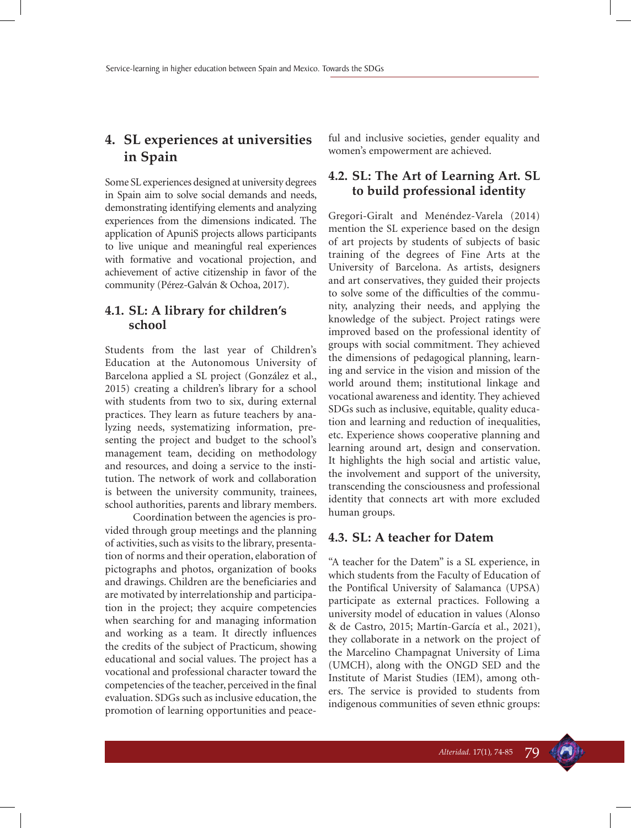# **4. SL experiences at universities in Spain**

Some SL experiences designed at university degrees in Spain aim to solve social demands and needs, demonstrating identifying elements and analyzing experiences from the dimensions indicated. The application of ApuniS projects allows participants to live unique and meaningful real experiences with formative and vocational projection, and achievement of active citizenship in favor of the community (Pérez-Galván & Ochoa, 2017).

### **4.1. SL: A library for children's school**

Students from the last year of Children's Education at the Autonomous University of Barcelona applied a SL project (González et al., 2015) creating a children's library for a school with students from two to six, during external practices. They learn as future teachers by analyzing needs, systematizing information, presenting the project and budget to the school's management team, deciding on methodology and resources, and doing a service to the institution. The network of work and collaboration is between the university community, trainees, school authorities, parents and library members.

Coordination between the agencies is provided through group meetings and the planning of activities, such as visits to the library, presentation of norms and their operation, elaboration of pictographs and photos, organization of books and drawings. Children are the beneficiaries and are motivated by interrelationship and participation in the project; they acquire competencies when searching for and managing information and working as a team. It directly influences the credits of the subject of Practicum, showing educational and social values. The project has a vocational and professional character toward the competencies of the teacher, perceived in the final evaluation. SDGs such as inclusive education, the promotion of learning opportunities and peaceful and inclusive societies, gender equality and women's empowerment are achieved.

#### **4.2. SL: The Art of Learning Art. SL to build professional identity**

Gregori-Giralt and Menéndez-Varela (2014) mention the SL experience based on the design of art projects by students of subjects of basic training of the degrees of Fine Arts at the University of Barcelona. As artists, designers and art conservatives, they guided their projects to solve some of the difficulties of the community, analyzing their needs, and applying the knowledge of the subject. Project ratings were improved based on the professional identity of groups with social commitment. They achieved the dimensions of pedagogical planning, learning and service in the vision and mission of the world around them; institutional linkage and vocational awareness and identity. They achieved SDGs such as inclusive, equitable, quality education and learning and reduction of inequalities, etc. Experience shows cooperative planning and learning around art, design and conservation. It highlights the high social and artistic value, the involvement and support of the university, transcending the consciousness and professional identity that connects art with more excluded human groups.

#### **4.3. SL: A teacher for Datem**

"A teacher for the Datem" is a SL experience, in which students from the Faculty of Education of the Pontifical University of Salamanca (UPSA) participate as external practices. Following a university model of education in values (Alonso & de Castro, 2015; Martín-García et al., 2021), they collaborate in a network on the project of the Marcelino Champagnat University of Lima (UMCH), along with the ONGD SED and the Institute of Marist Studies (IEM), among others. The service is provided to students from indigenous communities of seven ethnic groups:

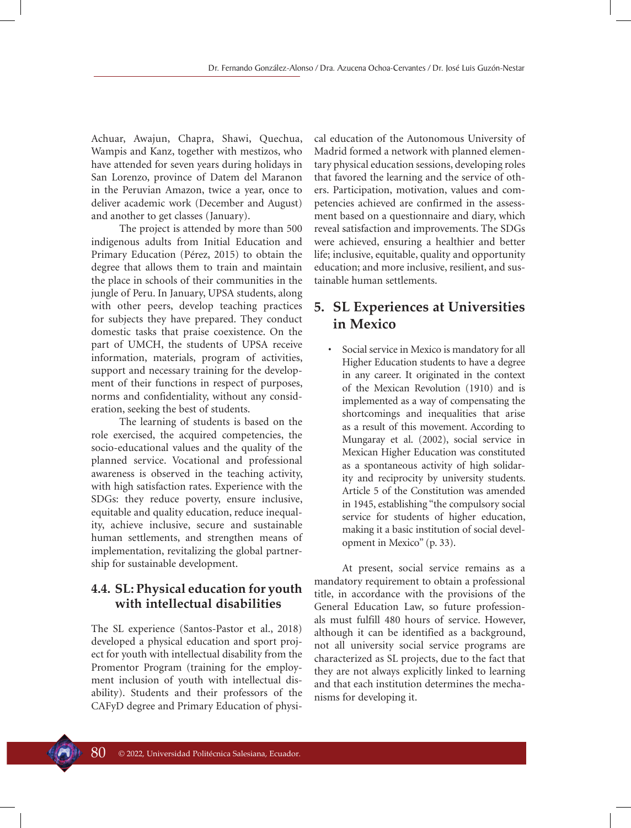Achuar, Awajun, Chapra, Shawi, Quechua, Wampis and Kanz, together with mestizos, who have attended for seven years during holidays in San Lorenzo, province of Datem del Maranon in the Peruvian Amazon, twice a year, once to deliver academic work (December and August) and another to get classes (January).

The project is attended by more than 500 indigenous adults from Initial Education and Primary Education (Pérez, 2015) to obtain the degree that allows them to train and maintain the place in schools of their communities in the jungle of Peru. In January, UPSA students, along with other peers, develop teaching practices for subjects they have prepared. They conduct domestic tasks that praise coexistence. On the part of UMCH, the students of UPSA receive information, materials, program of activities, support and necessary training for the development of their functions in respect of purposes, norms and confidentiality, without any consideration, seeking the best of students.

The learning of students is based on the role exercised, the acquired competencies, the socio-educational values and the quality of the planned service. Vocational and professional awareness is observed in the teaching activity, with high satisfaction rates. Experience with the SDGs: they reduce poverty, ensure inclusive, equitable and quality education, reduce inequality, achieve inclusive, secure and sustainable human settlements, and strengthen means of implementation, revitalizing the global partnership for sustainable development.

# **4.4. SL: Physical education for youth with intellectual disabilities**

The SL experience (Santos-Pastor et al., 2018) developed a physical education and sport project for youth with intellectual disability from the Promentor Program (training for the employment inclusion of youth with intellectual disability). Students and their professors of the CAFyD degree and Primary Education of physical education of the Autonomous University of Madrid formed a network with planned elementary physical education sessions, developing roles that favored the learning and the service of others. Participation, motivation, values and competencies achieved are confirmed in the assessment based on a questionnaire and diary, which reveal satisfaction and improvements. The SDGs were achieved, ensuring a healthier and better life; inclusive, equitable, quality and opportunity education; and more inclusive, resilient, and sustainable human settlements.

# **5. SL Experiences at Universities in Mexico**

Social service in Mexico is mandatory for all Higher Education students to have a degree in any career. It originated in the context of the Mexican Revolution (1910) and is implemented as a way of compensating the shortcomings and inequalities that arise as a result of this movement. According to Mungaray et al. (2002), social service in Mexican Higher Education was constituted as a spontaneous activity of high solidarity and reciprocity by university students. Article 5 of the Constitution was amended in 1945, establishing "the compulsory social service for students of higher education, making it a basic institution of social development in Mexico" (p. 33).

At present, social service remains as a mandatory requirement to obtain a professional title, in accordance with the provisions of the General Education Law, so future professionals must fulfill 480 hours of service. However, although it can be identified as a background, not all university social service programs are characterized as SL projects, due to the fact that they are not always explicitly linked to learning and that each institution determines the mechanisms for developing it.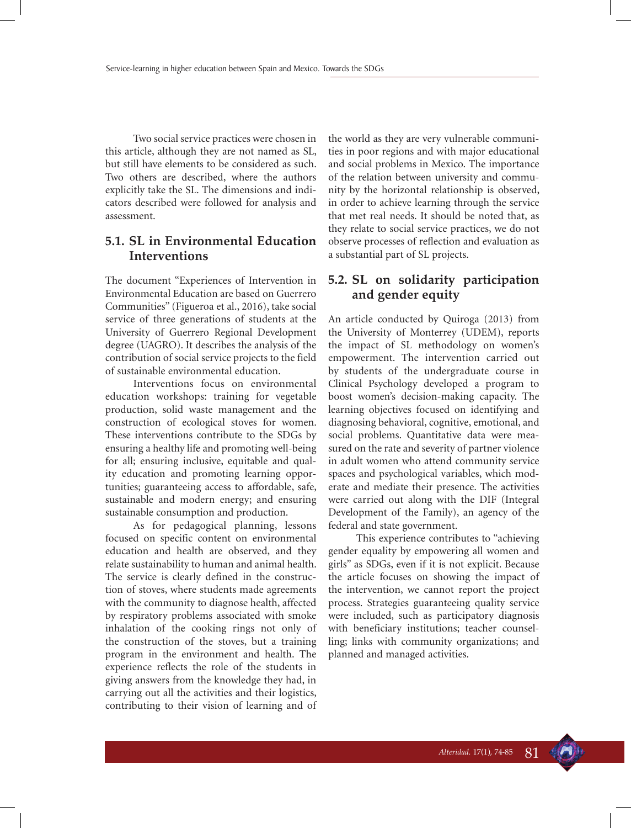Two social service practices were chosen in this article, although they are not named as SL, but still have elements to be considered as such. Two others are described, where the authors explicitly take the SL. The dimensions and indicators described were followed for analysis and assessment.

# **5.1. SL in Environmental Education Interventions**

The document "Experiences of Intervention in Environmental Education are based on Guerrero Communities" (Figueroa et al., 2016), take social service of three generations of students at the University of Guerrero Regional Development degree (UAGRO). It describes the analysis of the contribution of social service projects to the field of sustainable environmental education.

Interventions focus on environmental education workshops: training for vegetable production, solid waste management and the construction of ecological stoves for women. These interventions contribute to the SDGs by ensuring a healthy life and promoting well-being for all; ensuring inclusive, equitable and quality education and promoting learning opportunities; guaranteeing access to affordable, safe, sustainable and modern energy; and ensuring sustainable consumption and production.

As for pedagogical planning, lessons focused on specific content on environmental education and health are observed, and they relate sustainability to human and animal health. The service is clearly defined in the construction of stoves, where students made agreements with the community to diagnose health, affected by respiratory problems associated with smoke inhalation of the cooking rings not only of the construction of the stoves, but a training program in the environment and health. The experience reflects the role of the students in giving answers from the knowledge they had, in carrying out all the activities and their logistics, contributing to their vision of learning and of the world as they are very vulnerable communities in poor regions and with major educational and social problems in Mexico. The importance of the relation between university and community by the horizontal relationship is observed, in order to achieve learning through the service that met real needs. It should be noted that, as they relate to social service practices, we do not observe processes of reflection and evaluation as a substantial part of SL projects.

#### **5.2. SL on solidarity participation and gender equity**

An article conducted by Quiroga (2013) from the University of Monterrey (UDEM), reports the impact of SL methodology on women's empowerment. The intervention carried out by students of the undergraduate course in Clinical Psychology developed a program to boost women's decision-making capacity. The learning objectives focused on identifying and diagnosing behavioral, cognitive, emotional, and social problems. Quantitative data were measured on the rate and severity of partner violence in adult women who attend community service spaces and psychological variables, which moderate and mediate their presence. The activities were carried out along with the DIF (Integral Development of the Family), an agency of the federal and state government.

This experience contributes to "achieving gender equality by empowering all women and girls" as SDGs, even if it is not explicit. Because the article focuses on showing the impact of the intervention, we cannot report the project process. Strategies guaranteeing quality service were included, such as participatory diagnosis with beneficiary institutions; teacher counselling; links with community organizations; and planned and managed activities.

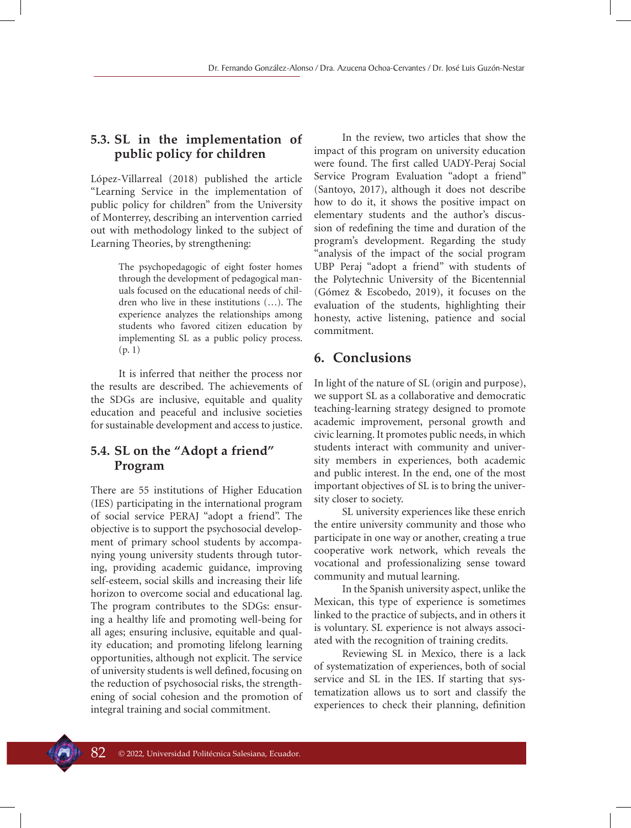### **5.3. SL in the implementation of public policy for children**

López-Villarreal (2018) published the article "Learning Service in the implementation of public policy for children" from the University of Monterrey, describing an intervention carried out with methodology linked to the subject of Learning Theories, by strengthening:

> The psychopedagogic of eight foster homes through the development of pedagogical manuals focused on the educational needs of children who live in these institutions (…). The experience analyzes the relationships among students who favored citizen education by implementing SL as a public policy process. (p. 1)

It is inferred that neither the process nor the results are described. The achievements of the SDGs are inclusive, equitable and quality education and peaceful and inclusive societies for sustainable development and access to justice.

### **5.4. SL on the "Adopt a friend" Program**

There are 55 institutions of Higher Education (IES) participating in the international program of social service PERAJ "adopt a friend". The objective is to support the psychosocial development of primary school students by accompanying young university students through tutoring, providing academic guidance, improving self-esteem, social skills and increasing their life horizon to overcome social and educational lag. The program contributes to the SDGs: ensuring a healthy life and promoting well-being for all ages; ensuring inclusive, equitable and quality education; and promoting lifelong learning opportunities, although not explicit. The service of university students is well defined, focusing on the reduction of psychosocial risks, the strengthening of social cohesion and the promotion of integral training and social commitment.

In the review, two articles that show the impact of this program on university education were found. The first called UADY-Peraj Social Service Program Evaluation "adopt a friend" (Santoyo, 2017), although it does not describe how to do it, it shows the positive impact on elementary students and the author's discussion of redefining the time and duration of the program's development. Regarding the study "analysis of the impact of the social program UBP Peraj "adopt a friend" with students of the Polytechnic University of the Bicentennial (Gómez & Escobedo, 2019), it focuses on the evaluation of the students, highlighting their honesty, active listening, patience and social commitment.

#### **6. Conclusions**

In light of the nature of SL (origin and purpose), we support SL as a collaborative and democratic teaching-learning strategy designed to promote academic improvement, personal growth and civic learning. It promotes public needs, in which students interact with community and university members in experiences, both academic and public interest. In the end, one of the most important objectives of SL is to bring the university closer to society.

SL university experiences like these enrich the entire university community and those who participate in one way or another, creating a true cooperative work network, which reveals the vocational and professionalizing sense toward community and mutual learning.

In the Spanish university aspect, unlike the Mexican, this type of experience is sometimes linked to the practice of subjects, and in others it is voluntary. SL experience is not always associated with the recognition of training credits.

Reviewing SL in Mexico, there is a lack of systematization of experiences, both of social service and SL in the IES. If starting that systematization allows us to sort and classify the experiences to check their planning, definition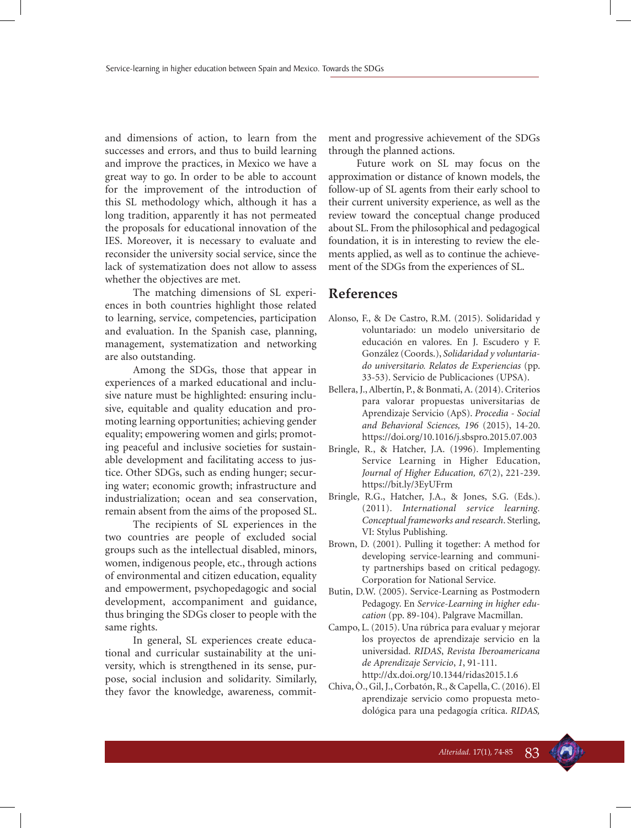and dimensions of action, to learn from the successes and errors, and thus to build learning and improve the practices, in Mexico we have a great way to go. In order to be able to account for the improvement of the introduction of this SL methodology which, although it has a long tradition, apparently it has not permeated the proposals for educational innovation of the IES. Moreover, it is necessary to evaluate and reconsider the university social service, since the lack of systematization does not allow to assess whether the objectives are met.

The matching dimensions of SL experiences in both countries highlight those related to learning, service, competencies, participation and evaluation. In the Spanish case, planning, management, systematization and networking are also outstanding.

Among the SDGs, those that appear in experiences of a marked educational and inclusive nature must be highlighted: ensuring inclusive, equitable and quality education and promoting learning opportunities; achieving gender equality; empowering women and girls; promoting peaceful and inclusive societies for sustainable development and facilitating access to justice. Other SDGs, such as ending hunger; securing water; economic growth; infrastructure and industrialization; ocean and sea conservation, remain absent from the aims of the proposed SL.

The recipients of SL experiences in the two countries are people of excluded social groups such as the intellectual disabled, minors, women, indigenous people, etc., through actions of environmental and citizen education, equality and empowerment, psychopedagogic and social development, accompaniment and guidance, thus bringing the SDGs closer to people with the same rights.

In general, SL experiences create educational and curricular sustainability at the university, which is strengthened in its sense, purpose, social inclusion and solidarity. Similarly, they favor the knowledge, awareness, commitment and progressive achievement of the SDGs through the planned actions.

Future work on SL may focus on the approximation or distance of known models, the follow-up of SL agents from their early school to their current university experience, as well as the review toward the conceptual change produced about SL. From the philosophical and pedagogical foundation, it is in interesting to review the elements applied, as well as to continue the achievement of the SDGs from the experiences of SL.

# **References**

- Alonso, F., & De Castro, R.M. (2015). Solidaridad y voluntariado: un modelo universitario de educación en valores. En J. Escudero y F. González (Coords.), *Solidaridad y voluntariado universitario. Relatos de Experiencias* (pp. 33-53). Servicio de Publicaciones (UPSA).
- Bellera, J., Albertín, P., & Bonmati, A. (2014). Criterios para valorar propuestas universitarias de Aprendizaje Servicio (ApS). *Procedia - Social and Behavioral Sciences, 196* (2015), 14-20. https://doi.org/10.1016/j.sbspro.2015.07.003
- Bringle, R., & Hatcher, J.A. (1996). Implementing Service Learning in Higher Education, *Journal of Higher Education, 67*(2), 221-239. https://bit.ly/3EyUFrm
- Bringle, R.G., Hatcher, J.A., & Jones, S.G. (Eds.). (2011). *International service learning. Conceptual frameworks and research*. Sterling, VI: Stylus Publishing.
- Brown, D. (2001). Pulling it together: A method for developing service-learning and community partnerships based on critical pedagogy. Corporation for National Service.
- Butin, D.W. (2005). Service-Learning as Postmodern Pedagogy. En *Service-Learning in higher education* (pp. 89-104). Palgrave Macmillan.
- Campo, L. (2015). Una rúbrica para evaluar y mejorar los proyectos de aprendizaje servicio en la universidad. *RIDAS*, *Revista Iberoamericana de Aprendizaje Servicio*, *1*, 91-111. http://dx.doi.org/10.1344/ridas2015.1.6
- Chiva, Ò., Gil, J., Corbatón, R., & Capella, C. (2016). El aprendizaje servicio como propuesta metodológica para una pedagogía crítica. *RIDAS,*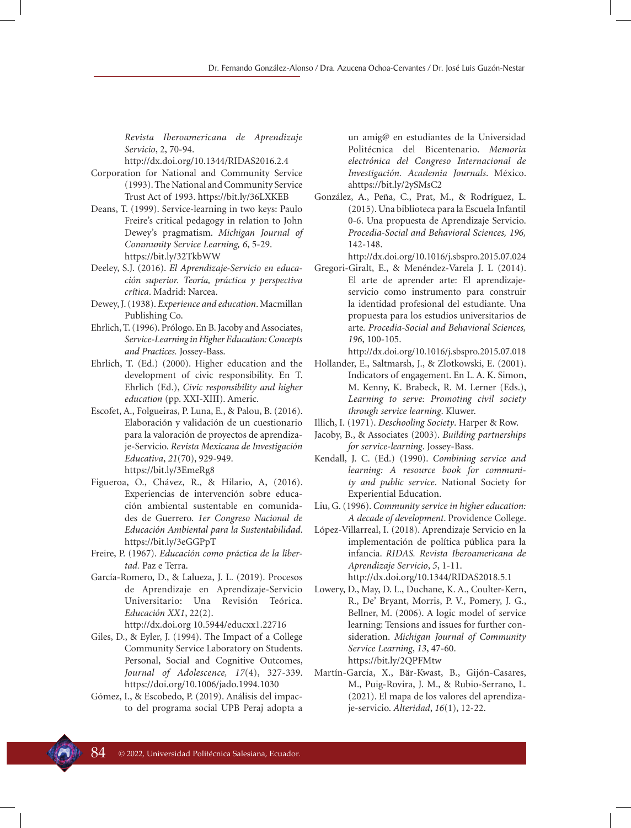*Revista Iberoamericana de Aprendizaje Servicio*, 2, 70-94.

http://dx.doi.org/10.1344/RIDAS2016.2.4

- Corporation for National and Community Service (1993). The National and Community Service Trust Act of 1993. https://bit.ly/36LXKEB
- Deans, T. (1999). Service-learning in two keys: Paulo Freire's critical pedagogy in relation to John Dewey's pragmatism. *Michigan Journal of Community Service Learning, 6*, 5-29. https://bit.ly/32TkbWW
- Deeley, S.J. (2016). *El Aprendizaje-Servicio en educación superior. Teoría, práctica y perspectiva crítica*. Madrid: Narcea.
- Dewey, J. (1938). *Experience and education*. Macmillan Publishing Co.
- Ehrlich, T. (1996). Prólogo. En B. Jacoby and Associates, *Service-Learning in Higher Education: Concepts and Practices.* Jossey-Bass.
- Ehrlich, T. (Ed.) (2000). Higher education and the development of civic responsibility. En T. Ehrlich (Ed.), *Civic responsibility and higher education* (pp. XXI-XIII). Americ.
- Escofet, A., Folgueiras, P. Luna, E., & Palou, B. (2016). Elaboración y validación de un cuestionario para la valoración de proyectos de aprendizaje-Servicio. *Revista Mexicana de Investigación Educativa*, *21*(70), 929-949. https://bit.ly/3EmeRg8
- Figueroa, O., Chávez, R., & Hilario, A, (2016). Experiencias de intervención sobre educación ambiental sustentable en comunidades de Guerrero. *1er Congreso Nacional de Educación Ambiental para la Sustentabilidad*. https://bit.ly/3eGGPpT
- Freire, P. (1967). *Educación como práctica de la libertad.* Paz e Terra.
- García-Romero, D., & Lalueza, J. L. (2019). Procesos de Aprendizaje en Aprendizaje-Servicio Universitario: Una Revisión Teórica. *Educación XX1*, 22(2). http://dx.doi.org 10.5944/educxx1.22716
- Giles, D., & Eyler, J. (1994). The Impact of a College Community Service Laboratory on Students. Personal, Social and Cognitive Outcomes, *Journal of Adolescence, 17*(4), 327-339. https://doi.org/10.1006/jado.1994.1030
- Gómez, I., & Escobedo, P. (2019). Análisis del impacto del programa social UPB Peraj adopta a

un amig@ en estudiantes de la Universidad Politécnica del Bicentenario. *Memoria electrónica del Congreso Internacional de Investigación. Academia Journals*. México. ahttps://bit.ly/2ySMsC2

González, A., Peña, C., Prat, M., & Rodríguez, L. (2015). Una biblioteca para la Escuela Infantil 0-6. Una propuesta de Aprendizaje Servicio. *Procedia-Social and Behavioral Sciences, 196,* 142-148.

http://dx.doi.org/10.1016/j.sbspro.2015.07.024

- Gregori-Giralt, E., & Menéndez-Varela J. L (2014). El arte de aprender arte: El aprendizajeservicio como instrumento para construir la identidad profesional del estudiante. Una propuesta para los estudios universitarios de arte*. Procedia-Social and Behavioral Sciences, 196*, 100-105.
- http://dx.doi.org/10.1016/j.sbspro.2015.07.018 Hollander, E., Saltmarsh, J., & Zlotkowski, E. (2001). Indicators of engagement. En L. A. K. Simon, M. Kenny, K. Brabeck, R. M. Lerner (Eds.), *Learning to serve: Promoting civil society through service learning*. Kluwer.

Illich, I. (1971). *Deschooling Society*. Harper & Row.

- Jacoby, B., & Associates (2003). *Building partnerships for service-learning*. Jossey-Bass.
- Kendall, J. C. (Ed.) (1990). *Combining service and learning: A resource book for community and public service*. National Society for Experiential Education.
- Liu, G. (1996). *Community service in higher education: A decade of development*. Providence College.
- López-Villarreal, I. (2018). Aprendizaje Servicio en la implementación de política pública para la infancia. *RIDAS. Revista Iberoamericana de Aprendizaje Servicio*, *5*, 1-11. http://dx.doi.org/10.1344/RIDAS2018.5.1
- Lowery, D., May, D. L., Duchane, K. A., Coulter-Kern, R., De' Bryant, Morris, P. V., Pomery, J. G., Bellner, M. (2006). A logic model of service learning: Tensions and issues for further consideration. *Michigan Journal of Community Service Learning*, *13*, 47-60. https://bit.ly/2QPFMtw
- Martín-García, X., Bär-Kwast, B., Gijón-Casares, M., Puig-Rovira, J. M., & Rubio-Serrano, L. (2021). El mapa de los valores del aprendizaje-servicio. *Alteridad*, *16*(1), 12-22.